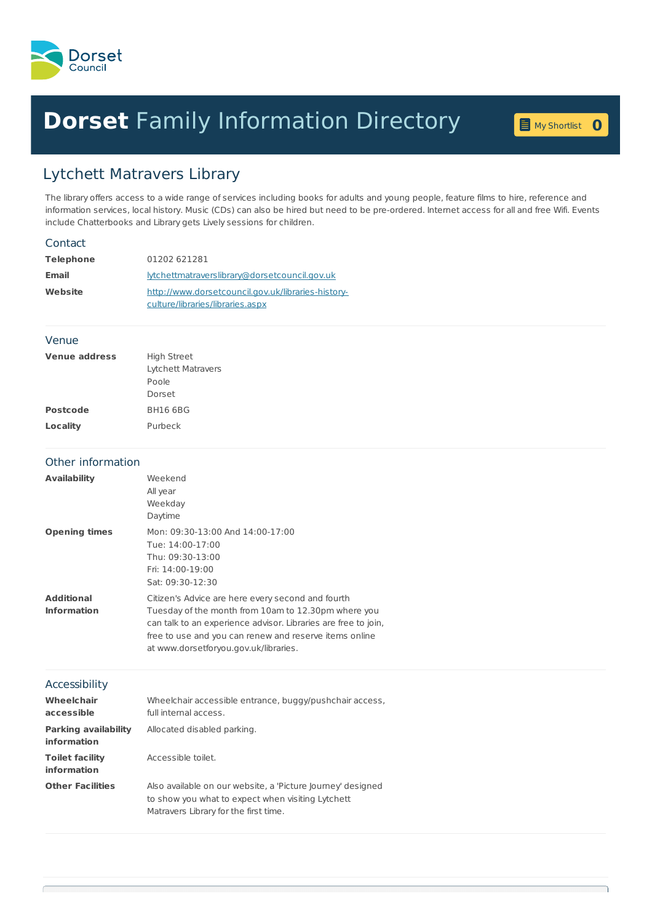

## **Dorset** Family [Information](home.page) Directory **<sup>0</sup>**

My [Shortlist](shortlist.page) 0

## Lytchett Matravers Library

The library offers access to a wide range of services including books for adults and young people, feature films to hire, reference and information services, local history. Music (CDs) can also be hired but need to be pre-ordered. Internet access for all and free Wifi. Events include Chatterbooks and Library gets Lively sessions for children.

| Contact                                    |                                                                |
|--------------------------------------------|----------------------------------------------------------------|
| <b>Telephone</b><br>Email                  | 01202 621281<br>lytchettmatraverslibrary@dorsetcouncil.gov.uk  |
|                                            |                                                                |
|                                            | culture/libraries/libraries.aspx                               |
| Venue                                      |                                                                |
| <b>Venue address</b>                       | <b>High Street</b>                                             |
|                                            | <b>Lytchett Matravers</b>                                      |
|                                            | Poole<br>Dorset                                                |
| <b>Postcode</b>                            | <b>BH16 6BG</b>                                                |
|                                            | Purbeck                                                        |
| Locality                                   |                                                                |
| Other information                          |                                                                |
| <b>Availability</b>                        | Weekend                                                        |
|                                            | All year                                                       |
|                                            | Weekday                                                        |
|                                            | Daytime                                                        |
| <b>Opening times</b>                       | Mon: 09:30-13:00 And 14:00-17:00                               |
|                                            | Tue: 14:00-17:00<br>Thu: 09:30-13:00                           |
|                                            | Fri: 14:00-19:00                                               |
|                                            | Sat: 09:30-12:30                                               |
| <b>Additional</b>                          | Citizen's Advice are here every second and fourth              |
| <b>Information</b>                         | Tuesday of the month from 10am to 12.30pm where you            |
|                                            | can talk to an experience advisor. Libraries are free to join, |
|                                            | free to use and you can renew and reserve items online         |
|                                            | at www.dorsetforyou.gov.uk/libraries.                          |
| Accessibility                              |                                                                |
| <b>Wheelchair</b>                          | Wheelchair accessible entrance, buggy/pushchair access,        |
| accessible                                 | full internal access.                                          |
| <b>Parking availability</b><br>information | Allocated disabled parking.                                    |
| <b>Toilet facility</b><br>information      | Accessible toilet.                                             |
| <b>Other Facilities</b>                    | Also available on our website, a 'Picture Journey' designed    |
|                                            | to show you what to expect when visiting Lytchett              |
|                                            | Matravers Library for the first time.                          |